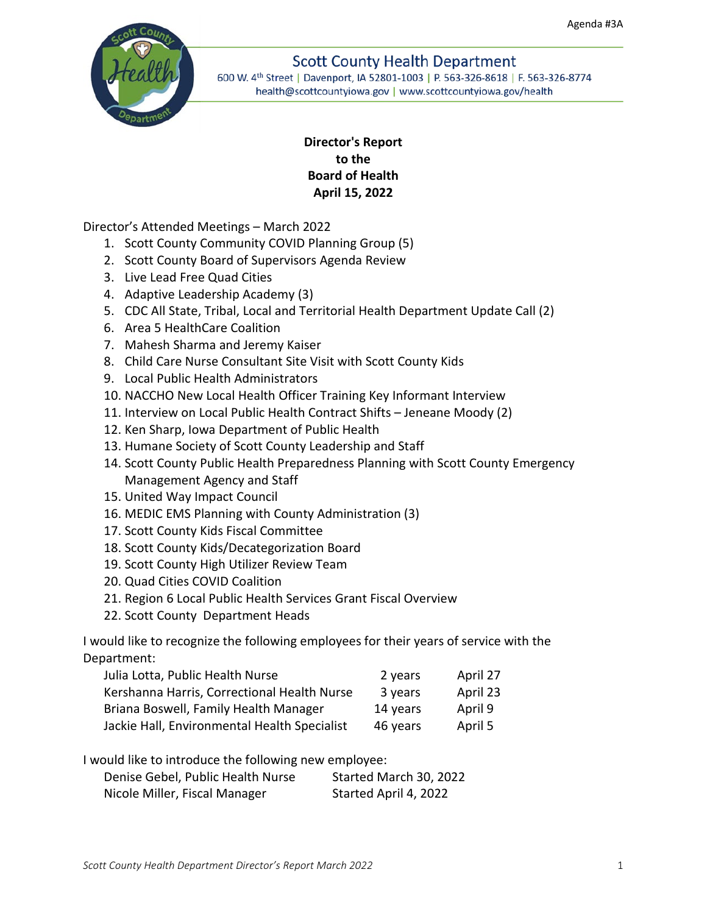

# **Scott County Health Department**

600 W. 4th Street | Davenport, IA 52801-1003 | P. 563-326-8618 | F. 563-326-8774 health@scottcountyiowa.gov | www.scottcountyiowa.gov/health

# **Director's Report to the Board of Health April 15, 2022**

Director's Attended Meetings – March 2022

- 1. Scott County Community COVID Planning Group (5)
- 2. Scott County Board of Supervisors Agenda Review
- 3. Live Lead Free Quad Cities
- 4. Adaptive Leadership Academy (3)
- 5. CDC All State, Tribal, Local and Territorial Health Department Update Call (2)
- 6. Area 5 HealthCare Coalition
- 7. Mahesh Sharma and Jeremy Kaiser
- 8. Child Care Nurse Consultant Site Visit with Scott County Kids
- 9. Local Public Health Administrators
- 10. NACCHO New Local Health Officer Training Key Informant Interview
- 11. Interview on Local Public Health Contract Shifts Jeneane Moody (2)
- 12. Ken Sharp, Iowa Department of Public Health
- 13. Humane Society of Scott County Leadership and Staff
- 14. Scott County Public Health Preparedness Planning with Scott County Emergency Management Agency and Staff
- 15. United Way Impact Council
- 16. MEDIC EMS Planning with County Administration (3)
- 17. Scott County Kids Fiscal Committee
- 18. Scott County Kids/Decategorization Board
- 19. Scott County High Utilizer Review Team
- 20. Quad Cities COVID Coalition
- 21. Region 6 Local Public Health Services Grant Fiscal Overview
- 22. Scott County Department Heads

I would like to recognize the following employees for their years of service with the Department:

| Julia Lotta, Public Health Nurse             | 2 years  | April 27 |
|----------------------------------------------|----------|----------|
| Kershanna Harris, Correctional Health Nurse  | 3 years  | April 23 |
| Briana Boswell, Family Health Manager        | 14 years | April 9  |
| Jackie Hall, Environmental Health Specialist | 46 years | April 5  |

I would like to introduce the following new employee:

| Denise Gebel, Public Health Nurse | Started March 30, 2022 |
|-----------------------------------|------------------------|
| Nicole Miller, Fiscal Manager     | Started April 4, 2022  |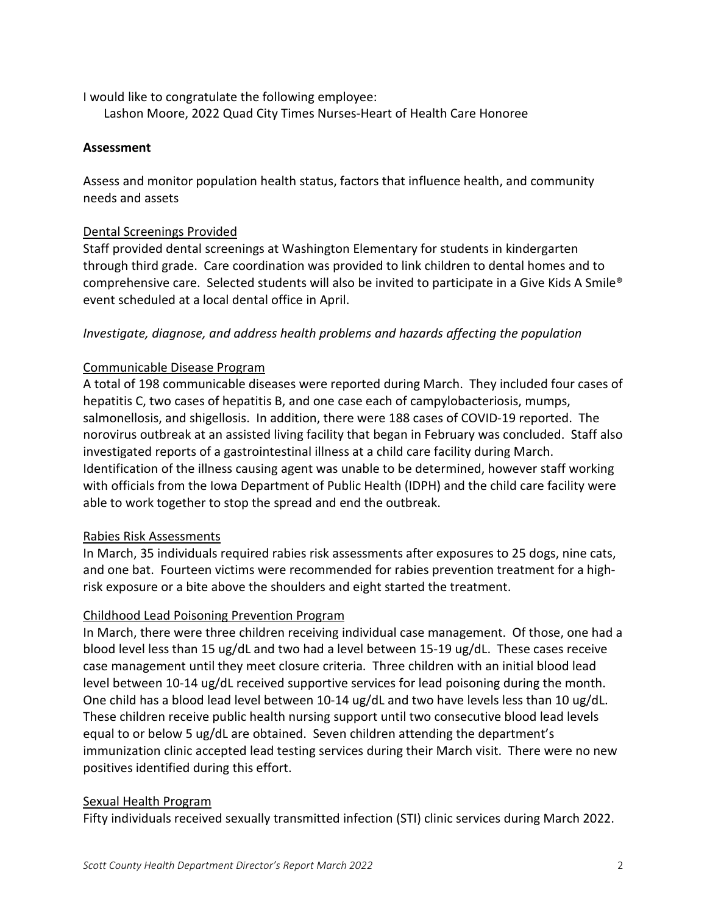I would like to congratulate the following employee:

Lashon Moore, 2022 Quad City Times Nurses-Heart of Health Care Honoree

## **Assessment**

Assess and monitor population health status, factors that influence health, and community needs and assets

## Dental Screenings Provided

Staff provided dental screenings at Washington Elementary for students in kindergarten through third grade. Care coordination was provided to link children to dental homes and to comprehensive care. Selected students will also be invited to participate in a Give Kids A Smile® event scheduled at a local dental office in April.

## *Investigate, diagnose, and address health problems and hazards affecting the population*

## Communicable Disease Program

A total of 198 communicable diseases were reported during March. They included four cases of hepatitis C, two cases of hepatitis B, and one case each of campylobacteriosis, mumps, salmonellosis, and shigellosis. In addition, there were 188 cases of COVID-19 reported. The norovirus outbreak at an assisted living facility that began in February was concluded. Staff also investigated reports of a gastrointestinal illness at a child care facility during March. Identification of the illness causing agent was unable to be determined, however staff working with officials from the Iowa Department of Public Health (IDPH) and the child care facility were able to work together to stop the spread and end the outbreak.

#### Rabies Risk Assessments

In March, 35 individuals required rabies risk assessments after exposures to 25 dogs, nine cats, and one bat. Fourteen victims were recommended for rabies prevention treatment for a highrisk exposure or a bite above the shoulders and eight started the treatment.

# Childhood Lead Poisoning Prevention Program

In March, there were three children receiving individual case management. Of those, one had a blood level less than 15 ug/dL and two had a level between 15-19 ug/dL. These cases receive case management until they meet closure criteria. Three children with an initial blood lead level between 10-14 ug/dL received supportive services for lead poisoning during the month. One child has a blood lead level between 10-14 ug/dL and two have levels less than 10 ug/dL. These children receive public health nursing support until two consecutive blood lead levels equal to or below 5 ug/dL are obtained. Seven children attending the department's immunization clinic accepted lead testing services during their March visit. There were no new positives identified during this effort.

#### Sexual Health Program

Fifty individuals received sexually transmitted infection (STI) clinic services during March 2022.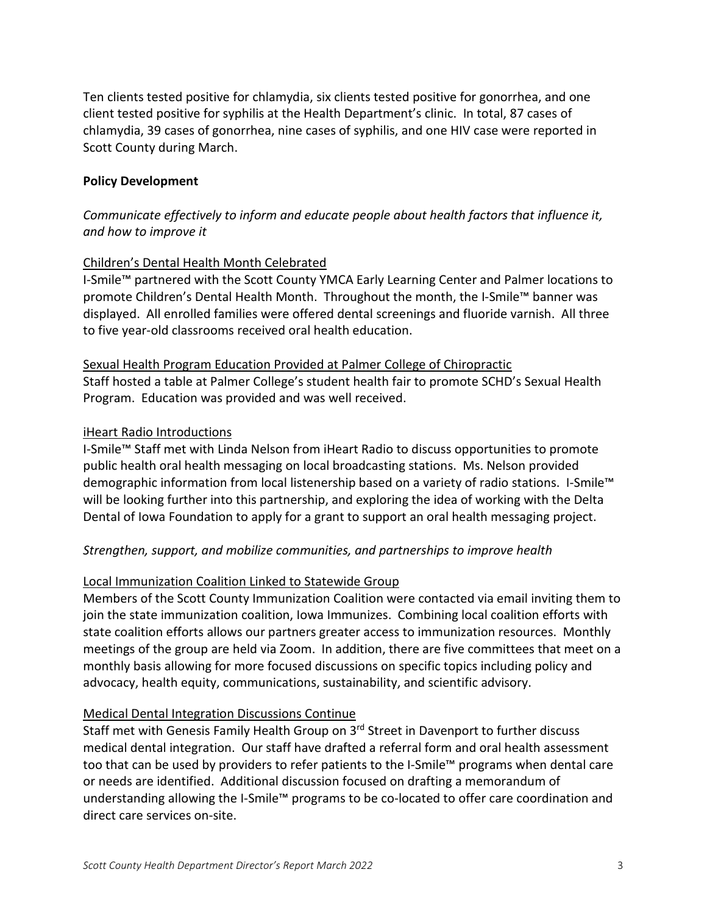Ten clients tested positive for chlamydia, six clients tested positive for gonorrhea, and one client tested positive for syphilis at the Health Department's clinic. In total, 87 cases of chlamydia, 39 cases of gonorrhea, nine cases of syphilis, and one HIV case were reported in Scott County during March.

## **Policy Development**

# *Communicate effectively to inform and educate people about health factors that influence it, and how to improve it*

## Children's Dental Health Month Celebrated

I-Smile™ partnered with the Scott County YMCA Early Learning Center and Palmer locations to promote Children's Dental Health Month. Throughout the month, the I-Smile™ banner was displayed. All enrolled families were offered dental screenings and fluoride varnish. All three to five year-old classrooms received oral health education.

Sexual Health Program Education Provided at Palmer College of Chiropractic Staff hosted a table at Palmer College's student health fair to promote SCHD's Sexual Health Program. Education was provided and was well received.

## iHeart Radio Introductions

I-Smile™ Staff met with Linda Nelson from iHeart Radio to discuss opportunities to promote public health oral health messaging on local broadcasting stations. Ms. Nelson provided demographic information from local listenership based on a variety of radio stations. I-Smile™ will be looking further into this partnership, and exploring the idea of working with the Delta Dental of Iowa Foundation to apply for a grant to support an oral health messaging project.

#### *Strengthen, support, and mobilize communities, and partnerships to improve health*

#### Local Immunization Coalition Linked to Statewide Group

Members of the Scott County Immunization Coalition were contacted via email inviting them to join the state immunization coalition, Iowa Immunizes. Combining local coalition efforts with state coalition efforts allows our partners greater access to immunization resources. Monthly meetings of the group are held via Zoom. In addition, there are five committees that meet on a monthly basis allowing for more focused discussions on specific topics including policy and advocacy, health equity, communications, sustainability, and scientific advisory.

#### Medical Dental Integration Discussions Continue

Staff met with Genesis Family Health Group on 3rd Street in Davenport to further discuss medical dental integration. Our staff have drafted a referral form and oral health assessment too that can be used by providers to refer patients to the I-Smile™ programs when dental care or needs are identified. Additional discussion focused on drafting a memorandum of understanding allowing the I-Smile™ programs to be co-located to offer care coordination and direct care services on-site.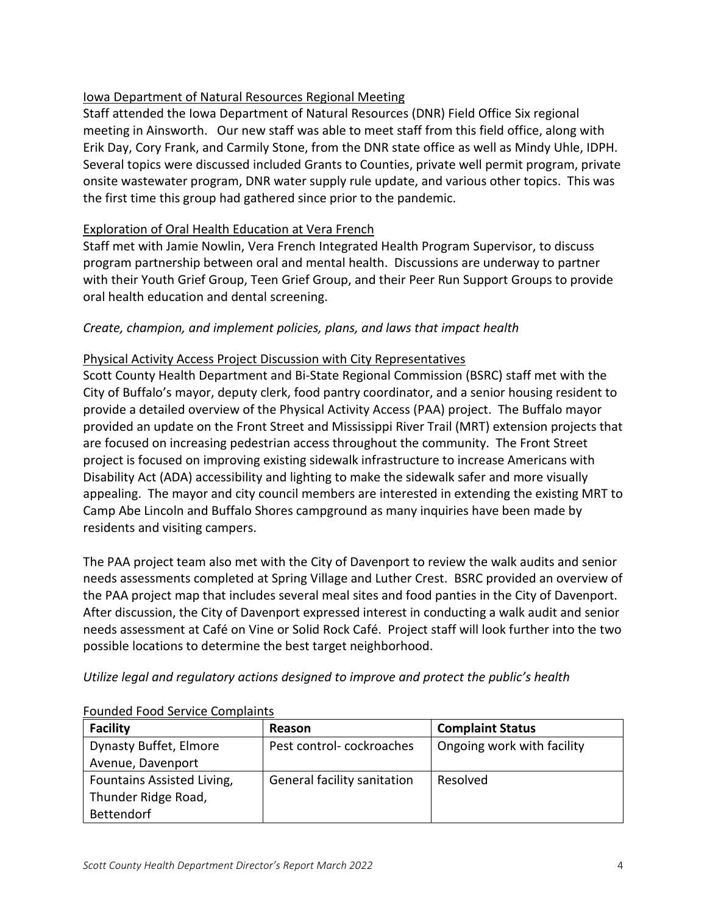# Iowa Department of Natural Resources Regional Meeting

Staff attended the Iowa Department of Natural Resources (DNR) Field Office Six regional meeting in Ainsworth. Our new staff was able to meet staff from this field office, along with Erik Day, Cory Frank, and Carmily Stone, from the DNR state office as well as Mindy Uhle, IDPH. Several topics were discussed included Grants to Counties, private well permit program, private onsite wastewater program, DNR water supply rule update, and various other topics. This was the first time this group had gathered since prior to the pandemic.

# Exploration of Oral Health Education at Vera French

Staff met with Jamie Nowlin, Vera French Integrated Health Program Supervisor, to discuss program partnership between oral and mental health. Discussions are underway to partner with their Youth Grief Group, Teen Grief Group, and their Peer Run Support Groups to provide oral health education and dental screening.

# *Create, champion, and implement policies, plans, and laws that impact health*

# Physical Activity Access Project Discussion with City Representatives

Scott County Health Department and Bi-State Regional Commission (BSRC) staff met with the City of Buffalo's mayor, deputy clerk, food pantry coordinator, and a senior housing resident to provide a detailed overview of the Physical Activity Access (PAA) project. The Buffalo mayor provided an update on the Front Street and Mississippi River Trail (MRT) extension projects that are focused on increasing pedestrian access throughout the community. The Front Street project is focused on improving existing sidewalk infrastructure to increase Americans with Disability Act (ADA) accessibility and lighting to make the sidewalk safer and more visually appealing. The mayor and city council members are interested in extending the existing MRT to Camp Abe Lincoln and Buffalo Shores campground as many inquiries have been made by residents and visiting campers.

The PAA project team also met with the City of Davenport to review the walk audits and senior needs assessments completed at Spring Village and Luther Crest. BSRC provided an overview of the PAA project map that includes several meal sites and food panties in the City of Davenport. After discussion, the City of Davenport expressed interest in conducting a walk audit and senior needs assessment at Café on Vine or Solid Rock Café. Project staff will look further into the two possible locations to determine the best target neighborhood.

# *Utilize legal and regulatory actions designed to improve and protect the public's health*

| <b>Facility</b>            | Reason                      | <b>Complaint Status</b>    |
|----------------------------|-----------------------------|----------------------------|
| Dynasty Buffet, Elmore     | Pest control-cockroaches    | Ongoing work with facility |
| Avenue, Davenport          |                             |                            |
| Fountains Assisted Living, | General facility sanitation | Resolved                   |
| Thunder Ridge Road,        |                             |                            |
| <b>Bettendorf</b>          |                             |                            |

## Founded Food Service Complaints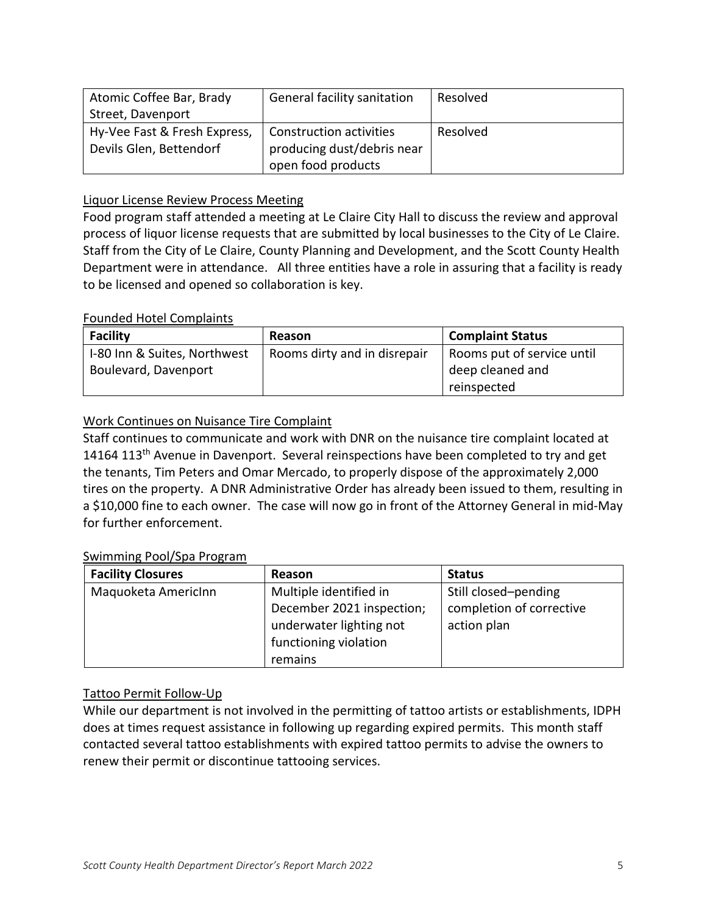| Atomic Coffee Bar, Brady     | General facility sanitation | Resolved |
|------------------------------|-----------------------------|----------|
| Street, Davenport            |                             |          |
| Hy-Vee Fast & Fresh Express, | Construction activities     | Resolved |
| Devils Glen, Bettendorf      | producing dust/debris near  |          |
|                              | open food products          |          |

## Liquor License Review Process Meeting

Food program staff attended a meeting at Le Claire City Hall to discuss the review and approval process of liquor license requests that are submitted by local businesses to the City of Le Claire. Staff from the City of Le Claire, County Planning and Development, and the Scott County Health Department were in attendance. All three entities have a role in assuring that a facility is ready to be licensed and opened so collaboration is key.

## Founded Hotel Complaints

| <b>Facility</b>              | Reason                       | <b>Complaint Status</b>    |
|------------------------------|------------------------------|----------------------------|
| I-80 Inn & Suites, Northwest | Rooms dirty and in disrepair | Rooms put of service until |
| Boulevard, Davenport         |                              | deep cleaned and           |
|                              |                              | reinspected                |

# Work Continues on Nuisance Tire Complaint

Staff continues to communicate and work with DNR on the nuisance tire complaint located at 14164 113<sup>th</sup> Avenue in Davenport. Several reinspections have been completed to try and get the tenants, Tim Peters and Omar Mercado, to properly dispose of the approximately 2,000 tires on the property. A DNR Administrative Order has already been issued to them, resulting in a \$10,000 fine to each owner. The case will now go in front of the Attorney General in mid-May for further enforcement.

#### Swimming Pool/Spa Program

| <b>Facility Closures</b> | Reason                    | <b>Status</b>            |
|--------------------------|---------------------------|--------------------------|
| Maquoketa AmericInn      | Multiple identified in    | Still closed-pending     |
|                          | December 2021 inspection; | completion of corrective |
|                          | underwater lighting not   | action plan              |
|                          | functioning violation     |                          |
|                          | remains                   |                          |

# Tattoo Permit Follow-Up

While our department is not involved in the permitting of tattoo artists or establishments, IDPH does at times request assistance in following up regarding expired permits. This month staff contacted several tattoo establishments with expired tattoo permits to advise the owners to renew their permit or discontinue tattooing services.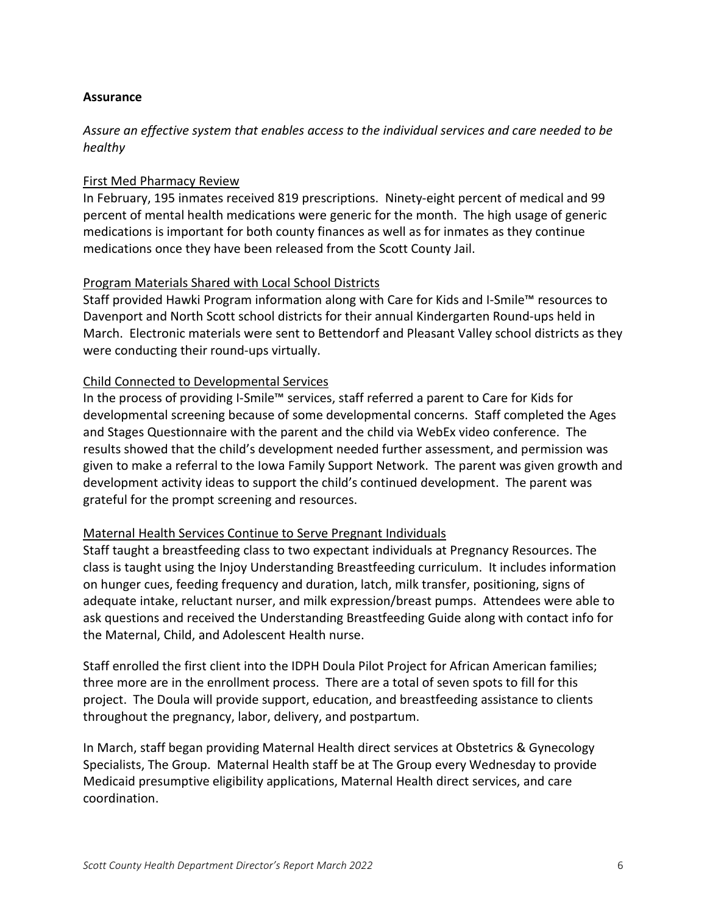#### **Assurance**

# *Assure an effective system that enables access to the individual services and care needed to be healthy*

#### First Med Pharmacy Review

In February, 195 inmates received 819 prescriptions. Ninety-eight percent of medical and 99 percent of mental health medications were generic for the month. The high usage of generic medications is important for both county finances as well as for inmates as they continue medications once they have been released from the Scott County Jail.

#### Program Materials Shared with Local School Districts

Staff provided Hawki Program information along with Care for Kids and I-Smile™ resources to Davenport and North Scott school districts for their annual Kindergarten Round-ups held in March. Electronic materials were sent to Bettendorf and Pleasant Valley school districts as they were conducting their round-ups virtually.

#### Child Connected to Developmental Services

In the process of providing I-Smile™ services, staff referred a parent to Care for Kids for developmental screening because of some developmental concerns. Staff completed the Ages and Stages Questionnaire with the parent and the child via WebEx video conference. The results showed that the child's development needed further assessment, and permission was given to make a referral to the Iowa Family Support Network. The parent was given growth and development activity ideas to support the child's continued development. The parent was grateful for the prompt screening and resources.

#### Maternal Health Services Continue to Serve Pregnant Individuals

Staff taught a breastfeeding class to two expectant individuals at Pregnancy Resources. The class is taught using the Injoy Understanding Breastfeeding curriculum. It includes information on hunger cues, feeding frequency and duration, latch, milk transfer, positioning, signs of adequate intake, reluctant nurser, and milk expression/breast pumps. Attendees were able to ask questions and received the Understanding Breastfeeding Guide along with contact info for the Maternal, Child, and Adolescent Health nurse.

Staff enrolled the first client into the IDPH Doula Pilot Project for African American families; three more are in the enrollment process. There are a total of seven spots to fill for this project. The Doula will provide support, education, and breastfeeding assistance to clients throughout the pregnancy, labor, delivery, and postpartum.

In March, staff began providing Maternal Health direct services at Obstetrics & Gynecology Specialists, The Group. Maternal Health staff be at The Group every Wednesday to provide Medicaid presumptive eligibility applications, Maternal Health direct services, and care coordination.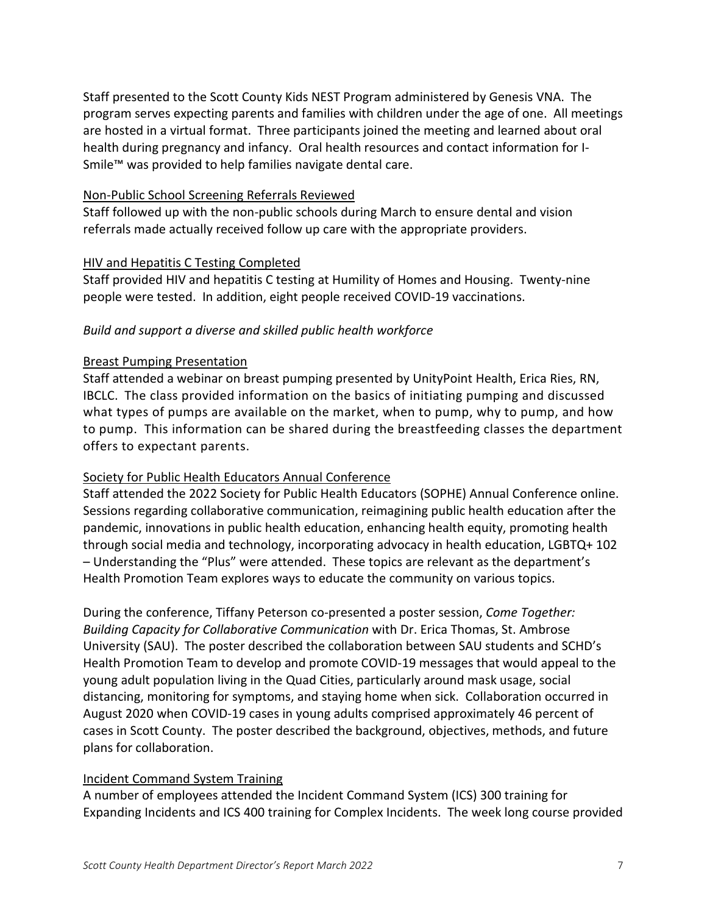Staff presented to the Scott County Kids NEST Program administered by Genesis VNA. The program serves expecting parents and families with children under the age of one. All meetings are hosted in a virtual format. Three participants joined the meeting and learned about oral health during pregnancy and infancy. Oral health resources and contact information for I-Smile™ was provided to help families navigate dental care.

## Non-Public School Screening Referrals Reviewed

Staff followed up with the non-public schools during March to ensure dental and vision referrals made actually received follow up care with the appropriate providers.

## HIV and Hepatitis C Testing Completed

Staff provided HIV and hepatitis C testing at Humility of Homes and Housing. Twenty-nine people were tested. In addition, eight people received COVID-19 vaccinations.

# *Build and support a diverse and skilled public health workforce*

## Breast Pumping Presentation

Staff attended a webinar on breast pumping presented by UnityPoint Health, Erica Ries, RN, IBCLC. The class provided information on the basics of initiating pumping and discussed what types of pumps are available on the market, when to pump, why to pump, and how to pump. This information can be shared during the breastfeeding classes the department offers to expectant parents.

# Society for Public Health Educators Annual Conference

Staff attended the 2022 Society for Public Health Educators (SOPHE) Annual Conference online. Sessions regarding collaborative communication, reimagining public health education after the pandemic, innovations in public health education, enhancing health equity, promoting health through social media and technology, incorporating advocacy in health education, LGBTQ+ 102 – Understanding the "Plus" were attended. These topics are relevant as the department's Health Promotion Team explores ways to educate the community on various topics.

During the conference, Tiffany Peterson co-presented a poster session, *Come Together: Building Capacity for Collaborative Communication* with Dr. Erica Thomas, St. Ambrose University (SAU). The poster described the collaboration between SAU students and SCHD's Health Promotion Team to develop and promote COVID-19 messages that would appeal to the young adult population living in the Quad Cities, particularly around mask usage, social distancing, monitoring for symptoms, and staying home when sick. Collaboration occurred in August 2020 when COVID-19 cases in young adults comprised approximately 46 percent of cases in Scott County. The poster described the background, objectives, methods, and future plans for collaboration.

# Incident Command System Training

A number of employees attended the Incident Command System (ICS) 300 training for Expanding Incidents and ICS 400 training for Complex Incidents. The week long course provided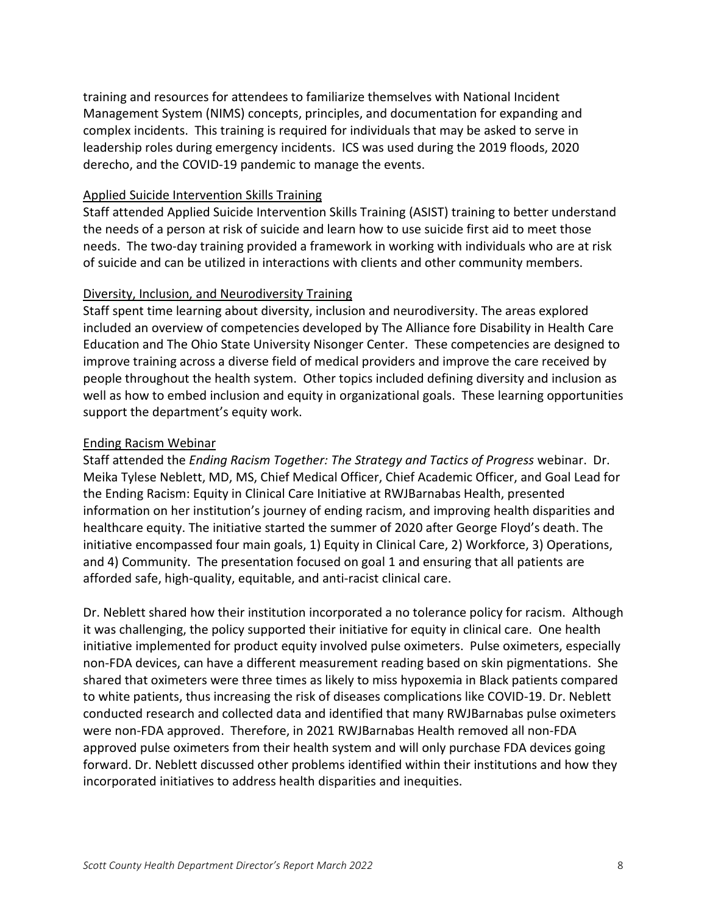training and resources for attendees to familiarize themselves with National Incident Management System (NIMS) concepts, principles, and documentation for expanding and complex incidents. This training is required for individuals that may be asked to serve in leadership roles during emergency incidents. ICS was used during the 2019 floods, 2020 derecho, and the COVID-19 pandemic to manage the events.

## Applied Suicide Intervention Skills Training

Staff attended Applied Suicide Intervention Skills Training (ASIST) training to better understand the needs of a person at risk of suicide and learn how to use suicide first aid to meet those needs. The two-day training provided a framework in working with individuals who are at risk of suicide and can be utilized in interactions with clients and other community members.

## Diversity, Inclusion, and Neurodiversity Training

Staff spent time learning about diversity, inclusion and neurodiversity. The areas explored included an overview of competencies developed by The Alliance fore Disability in Health Care Education and The Ohio State University Nisonger Center. These competencies are designed to improve training across a diverse field of medical providers and improve the care received by people throughout the health system. Other topics included defining diversity and inclusion as well as how to embed inclusion and equity in organizational goals. These learning opportunities support the department's equity work.

## Ending Racism Webinar

Staff attended the *Ending Racism Together: The Strategy and Tactics of Progress* webinar. Dr. Meika Tylese Neblett, MD, MS, Chief Medical Officer, Chief Academic Officer, and Goal Lead for the Ending Racism: Equity in Clinical Care Initiative at RWJBarnabas Health, presented information on her institution's journey of ending racism, and improving health disparities and healthcare equity. The initiative started the summer of 2020 after George Floyd's death. The initiative encompassed four main goals, 1) Equity in Clinical Care, 2) Workforce, 3) Operations, and 4) Community. The presentation focused on goal 1 and ensuring that all patients are afforded safe, high-quality, equitable, and anti-racist clinical care.

Dr. Neblett shared how their institution incorporated a no tolerance policy for racism. Although it was challenging, the policy supported their initiative for equity in clinical care. One health initiative implemented for product equity involved pulse oximeters. Pulse oximeters, especially non-FDA devices, can have a different measurement reading based on skin pigmentations. She shared that oximeters were three times as likely to miss hypoxemia in Black patients compared to white patients, thus increasing the risk of diseases complications like COVID-19. Dr. Neblett conducted research and collected data and identified that many RWJBarnabas pulse oximeters were non-FDA approved. Therefore, in 2021 RWJBarnabas Health removed all non-FDA approved pulse oximeters from their health system and will only purchase FDA devices going forward. Dr. Neblett discussed other problems identified within their institutions and how they incorporated initiatives to address health disparities and inequities.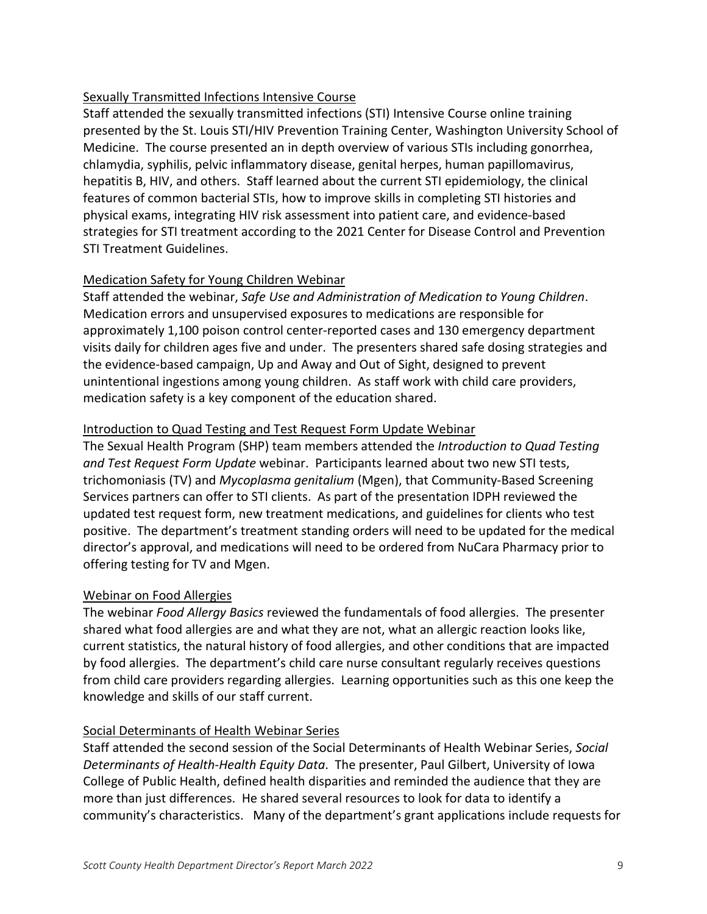# Sexually Transmitted Infections Intensive Course

Staff attended the sexually transmitted infections (STI) Intensive Course online training presented by the St. Louis STI/HIV Prevention Training Center, Washington University School of Medicine. The course presented an in depth overview of various STIs including gonorrhea, chlamydia, syphilis, pelvic inflammatory disease, genital herpes, human papillomavirus, hepatitis B, HIV, and others. Staff learned about the current STI epidemiology, the clinical features of common bacterial STIs, how to improve skills in completing STI histories and physical exams, integrating HIV risk assessment into patient care, and evidence-based strategies for STI treatment according to the 2021 Center for Disease Control and Prevention STI Treatment Guidelines.

# Medication Safety for Young Children Webinar

Staff attended the webinar, *Safe Use and Administration of Medication to Young Children*. Medication errors and unsupervised exposures to medications are responsible for approximately 1,100 poison control center-reported cases and 130 emergency department visits daily for children ages five and under. The presenters shared safe dosing strategies and the evidence-based campaign, Up and Away and Out of Sight, designed to prevent unintentional ingestions among young children. As staff work with child care providers, medication safety is a key component of the education shared.

# Introduction to Quad Testing and Test Request Form Update Webinar

The Sexual Health Program (SHP) team members attended the *Introduction to Quad Testing and Test Request Form Update* webinar. Participants learned about two new STI tests, trichomoniasis (TV) and *Mycoplasma genitalium* (Mgen), that Community-Based Screening Services partners can offer to STI clients. As part of the presentation IDPH reviewed the updated test request form, new treatment medications, and guidelines for clients who test positive. The department's treatment standing orders will need to be updated for the medical director's approval, and medications will need to be ordered from NuCara Pharmacy prior to offering testing for TV and Mgen.

# Webinar on Food Allergies

The webinar *Food Allergy Basics* reviewed the fundamentals of food allergies. The presenter shared what food allergies are and what they are not, what an allergic reaction looks like, current statistics, the natural history of food allergies, and other conditions that are impacted by food allergies. The department's child care nurse consultant regularly receives questions from child care providers regarding allergies. Learning opportunities such as this one keep the knowledge and skills of our staff current.

# Social Determinants of Health Webinar Series

Staff attended the second session of the Social Determinants of Health Webinar Series, *Social Determinants of Health-Health Equity Data*. The presenter, Paul Gilbert, University of Iowa College of Public Health, defined health disparities and reminded the audience that they are more than just differences. He shared several resources to look for data to identify a community's characteristics. Many of the department's grant applications include requests for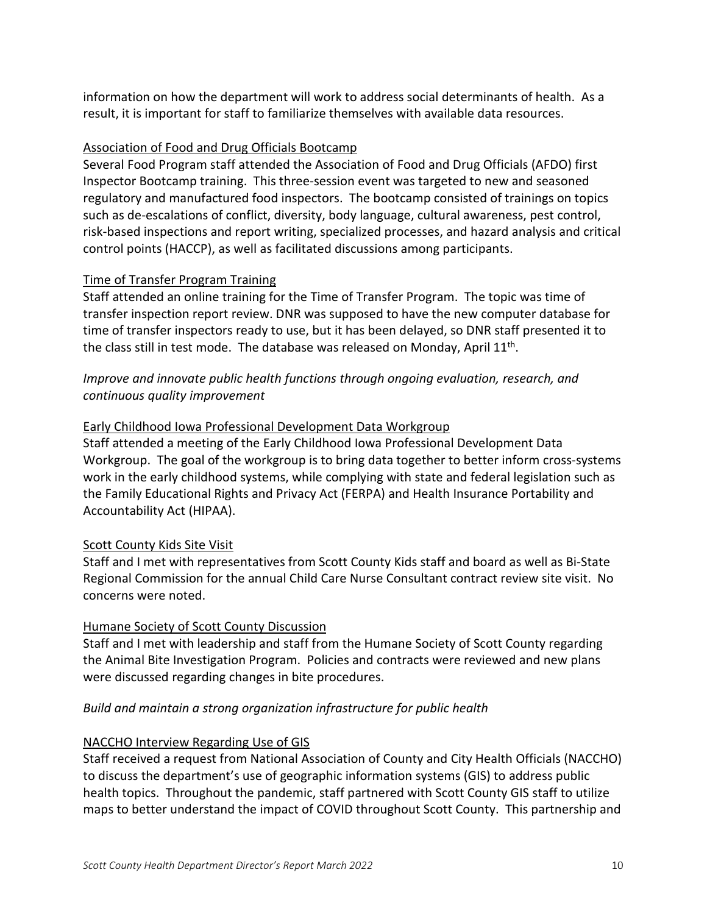information on how the department will work to address social determinants of health. As a result, it is important for staff to familiarize themselves with available data resources.

## Association of Food and Drug Officials Bootcamp

Several Food Program staff attended the Association of Food and Drug Officials (AFDO) first Inspector Bootcamp training. This three-session event was targeted to new and seasoned regulatory and manufactured food inspectors. The bootcamp consisted of trainings on topics such as de-escalations of conflict, diversity, body language, cultural awareness, pest control, risk-based inspections and report writing, specialized processes, and hazard analysis and critical control points (HACCP), as well as facilitated discussions among participants.

## Time of Transfer Program Training

Staff attended an online training for the Time of Transfer Program. The topic was time of transfer inspection report review. DNR was supposed to have the new computer database for time of transfer inspectors ready to use, but it has been delayed, so DNR staff presented it to the class still in test mode. The database was released on Monday, April 11<sup>th</sup>.

# *Improve and innovate public health functions through ongoing evaluation, research, and continuous quality improvement*

#### Early Childhood Iowa Professional Development Data Workgroup

Staff attended a meeting of the Early Childhood Iowa Professional Development Data Workgroup. The goal of the workgroup is to bring data together to better inform cross-systems work in the early childhood systems, while complying with state and federal legislation such as the Family Educational Rights and Privacy Act (FERPA) and Health Insurance Portability and Accountability Act (HIPAA).

#### Scott County Kids Site Visit

Staff and I met with representatives from Scott County Kids staff and board as well as Bi-State Regional Commission for the annual Child Care Nurse Consultant contract review site visit. No concerns were noted.

#### Humane Society of Scott County Discussion

Staff and I met with leadership and staff from the Humane Society of Scott County regarding the Animal Bite Investigation Program. Policies and contracts were reviewed and new plans were discussed regarding changes in bite procedures.

#### *Build and maintain a strong organization infrastructure for public health*

#### NACCHO Interview Regarding Use of GIS

Staff received a request from National Association of County and City Health Officials (NACCHO) to discuss the department's use of geographic information systems (GIS) to address public health topics. Throughout the pandemic, staff partnered with Scott County GIS staff to utilize maps to better understand the impact of COVID throughout Scott County. This partnership and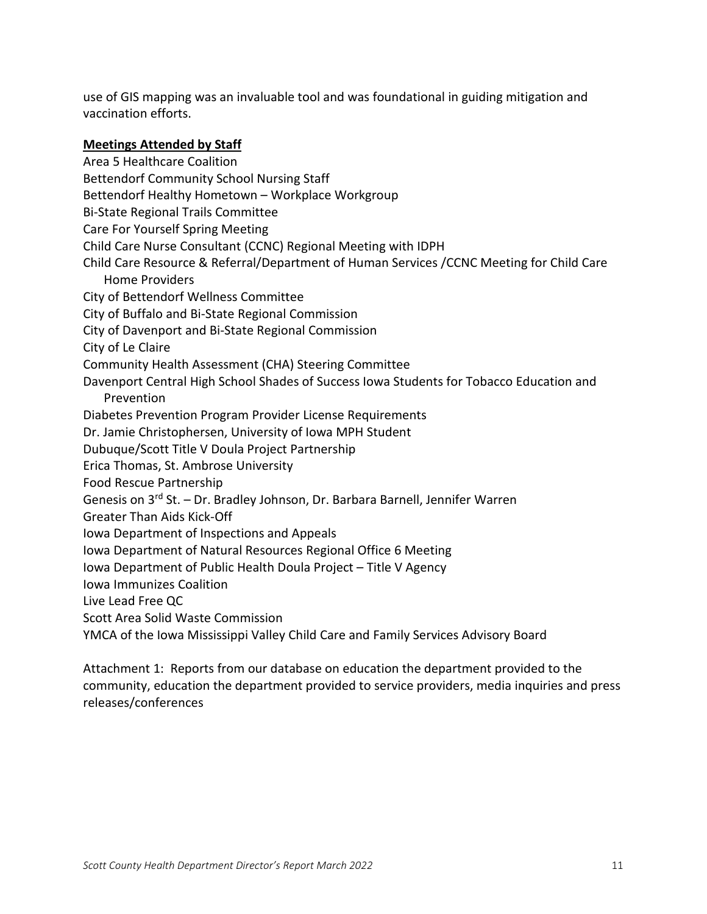use of GIS mapping was an invaluable tool and was foundational in guiding mitigation and vaccination efforts.

#### **Meetings Attended by Staff**

Area 5 Healthcare Coalition Bettendorf Community School Nursing Staff Bettendorf Healthy Hometown – Workplace Workgroup Bi-State Regional Trails Committee Care For Yourself Spring Meeting Child Care Nurse Consultant (CCNC) Regional Meeting with IDPH Child Care Resource & Referral/Department of Human Services /CCNC Meeting for Child Care Home Providers City of Bettendorf Wellness Committee City of Buffalo and Bi-State Regional Commission City of Davenport and Bi-State Regional Commission City of Le Claire Community Health Assessment (CHA) Steering Committee Davenport Central High School Shades of Success Iowa Students for Tobacco Education and Prevention Diabetes Prevention Program Provider License Requirements Dr. Jamie Christophersen, University of Iowa MPH Student Dubuque/Scott Title V Doula Project Partnership Erica Thomas, St. Ambrose University Food Rescue Partnership Genesis on 3rd St. – Dr. Bradley Johnson, Dr. Barbara Barnell, Jennifer Warren Greater Than Aids Kick-Off Iowa Department of Inspections and Appeals Iowa Department of Natural Resources Regional Office 6 Meeting Iowa Department of Public Health Doula Project – Title V Agency Iowa Immunizes Coalition Live Lead Free QC Scott Area Solid Waste Commission YMCA of the Iowa Mississippi Valley Child Care and Family Services Advisory Board

Attachment 1: Reports from our database on education the department provided to the community, education the department provided to service providers, media inquiries and press releases/conferences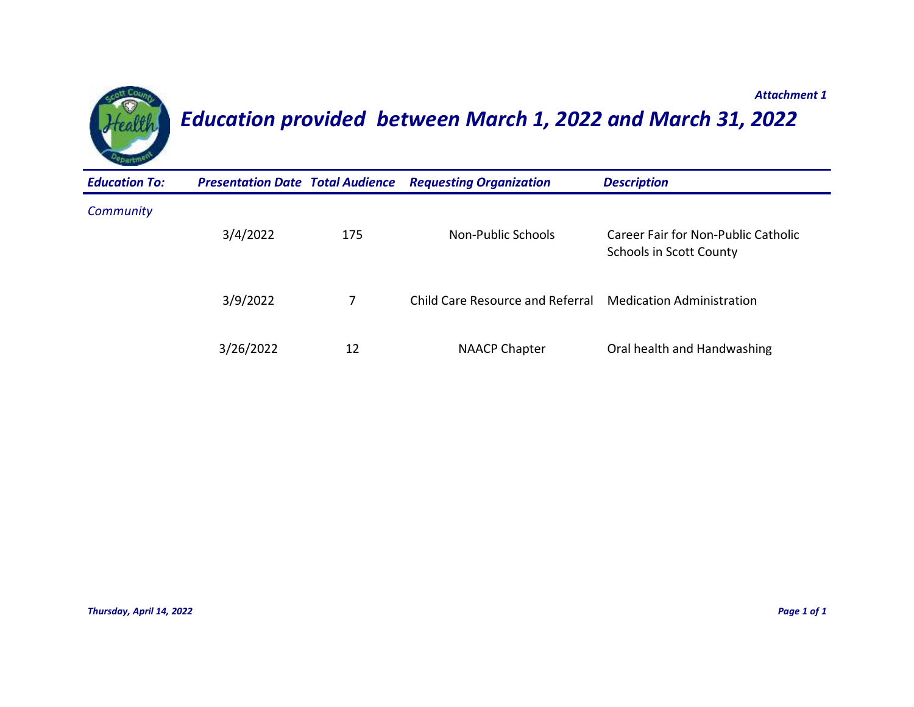

# *Education provided between March 1, 2022 and March 31, 2022*

| <b>Education To:</b> | <b>Presentation Date Total Audience</b> |     | <b>Requesting Organization</b>          | <b>Description</b>                                                    |
|----------------------|-----------------------------------------|-----|-----------------------------------------|-----------------------------------------------------------------------|
| Community            | 3/4/2022                                | 175 | Non-Public Schools                      | Career Fair for Non-Public Catholic<br><b>Schools in Scott County</b> |
|                      | 3/9/2022                                |     | <b>Child Care Resource and Referral</b> | <b>Medication Administration</b>                                      |
|                      | 3/26/2022                               | 12  | <b>NAACP Chapter</b>                    | Oral health and Handwashing                                           |

*Attachment 1*